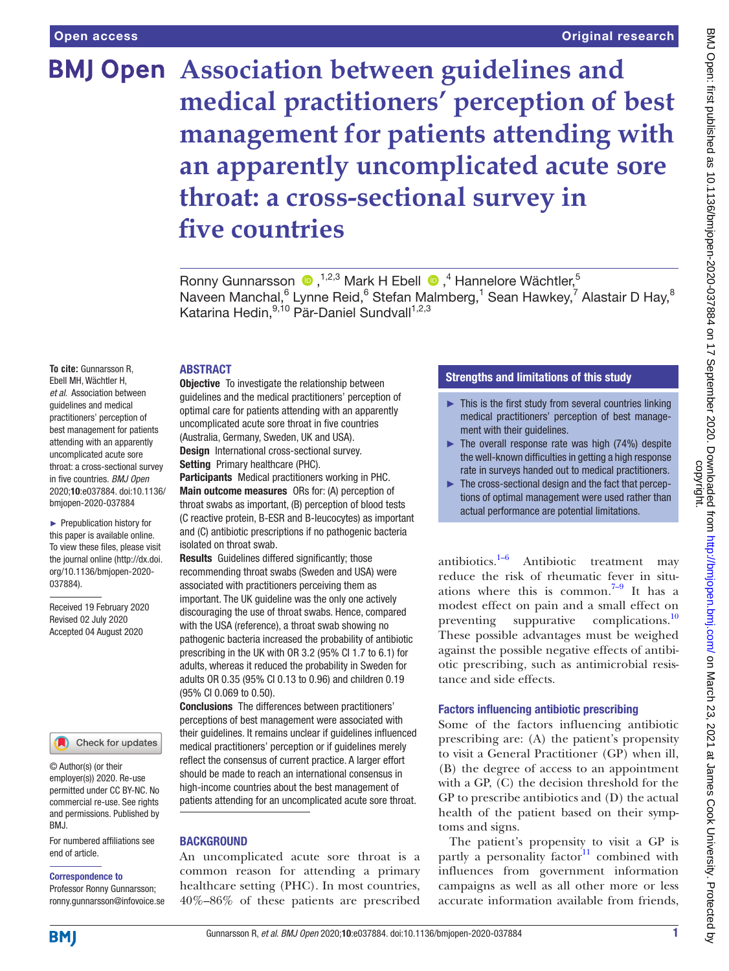**To cite:** Gunnarsson R, Ebell MH, Wächtler H, *et al*. Association between guidelines and medical practitioners' perception of best management for patients attending with an apparently uncomplicated acute sore throat: a cross-sectional survey in five countries. *BMJ Open* 2020;10:e037884. doi:10.1136/ bmjopen-2020-037884 ► Prepublication history for this paper is available online. To view these files, please visit the journal online (http://dx.doi. org/10.1136/bmjopen-2020-

037884).

Received 19 February 2020 Revised 02 July 2020 Accepted 04 August 2020

For numbered affiliations see

Check for updates

# **BMJ Open Association between guidelines and medical practitioners' perception of best management for patients attending with an apparently uncomplicated acute sore throat: a cross-sectional survey in five countries**

RonnyGunnarsson (D, <sup>1,2,3</sup> Mark H Ebell (D, <sup>4</sup> Hannelore Wächtler, 5 Naveen Manchal, <sup>6</sup> Lynne Reid, <sup>6</sup> Stefan Malmberg, <sup>1</sup> Sean Hawkey, <sup>7</sup> Alastair D Hay, <sup>8</sup> Katarina Hedin, 9,10 Pär-Daniel Sundvall<sup>1,2,3</sup>

#### ABSTRACT

**Objective** To investigate the relationship between guidelines and the medical practitioners' perception of optimal care for patients attending with an apparently uncomplicated acute sore throat in five countries (Australia, Germany, Sweden, UK and USA). Design International cross-sectional survey. Setting Primary healthcare (PHC).

Participants Medical practitioners working in PHC. Main outcome measures ORs for: (A) perception of throat swabs as important, (B) perception of blood tests (C reactive protein, B-ESR and B-leucocytes) as important and (C) antibiotic prescriptions if no pathogenic bacteria isolated on throat swab.

Results Guidelines differed significantly; those recommending throat swabs (Sweden and USA) were associated with practitioners perceiving them as important. The UK guideline was the only one actively discouraging the use of throat swabs. Hence, compared with the USA (reference), a throat swab showing no pathogenic bacteria increased the probability of antibiotic prescribing in the UK with OR 3.2 (95% CI 1.7 to 6.1) for adults, whereas it reduced the probability in Sweden for adults OR 0.35 (95% CI 0.13 to 0.96) and children 0.19 (95% CI 0.069 to 0.50).

Conclusions The differences between practitioners' perceptions of best management were associated with their guidelines. It remains unclear if guidelines influenced medical practitioners' perception or if guidelines merely reflect the consensus of current practice. A larger effort should be made to reach an international consensus in high-income countries about the best management of patients attending for an uncomplicated acute sore throat.

#### **BACKGROUND**

An uncomplicated acute sore throat is a common reason for attending a primary healthcare setting (PHC). In most countries, 40%–86% of these patients are prescribed

## Strengths and limitations of this study

- $\blacktriangleright$  This is the first study from several countries linking medical practitioners' perception of best management with their guidelines.
- $\blacktriangleright$  The overall response rate was high (74%) despite the well-known difficulties in getting a high response rate in surveys handed out to medical practitioners.
- ► The cross-sectional design and the fact that perceptions of optimal management were used rather than actual performance are potential limitations.

antibiotics. $1-6$  Antibiotic treatment may reduce the risk of rheumatic fever in situations where this is common.<sup>7-9</sup> It has a modest effect on pain and a small effect on preventing suppurative complications.<sup>[10](#page-9-2)</sup> These possible advantages must be weighed against the possible negative effects of antibiotic prescribing, such as antimicrobial resistance and side effects.

### Factors influencing antibiotic prescribing

Some of the factors influencing antibiotic prescribing are: (A) the patient's propensity to visit a General Practitioner (GP) when ill, (B) the degree of access to an appointment with a GP, (C) the decision threshold for the GP to prescribe antibiotics and (D) the actual health of the patient based on their symptoms and signs.

The patient's propensity to visit a GP is partly a personality factor $11$  combined with influences from government information campaigns as well as all other more or less accurate information available from friends,

## **BMI**

end of article.

BMJ.

Correspondence to Professor Ronny Gunnarsson; ronny.gunnarsson@infovoice.se

© Author(s) (or their employer(s)) 2020. Re-use permitted under CC BY-NC. No commercial re-use. See rights and permissions. Published by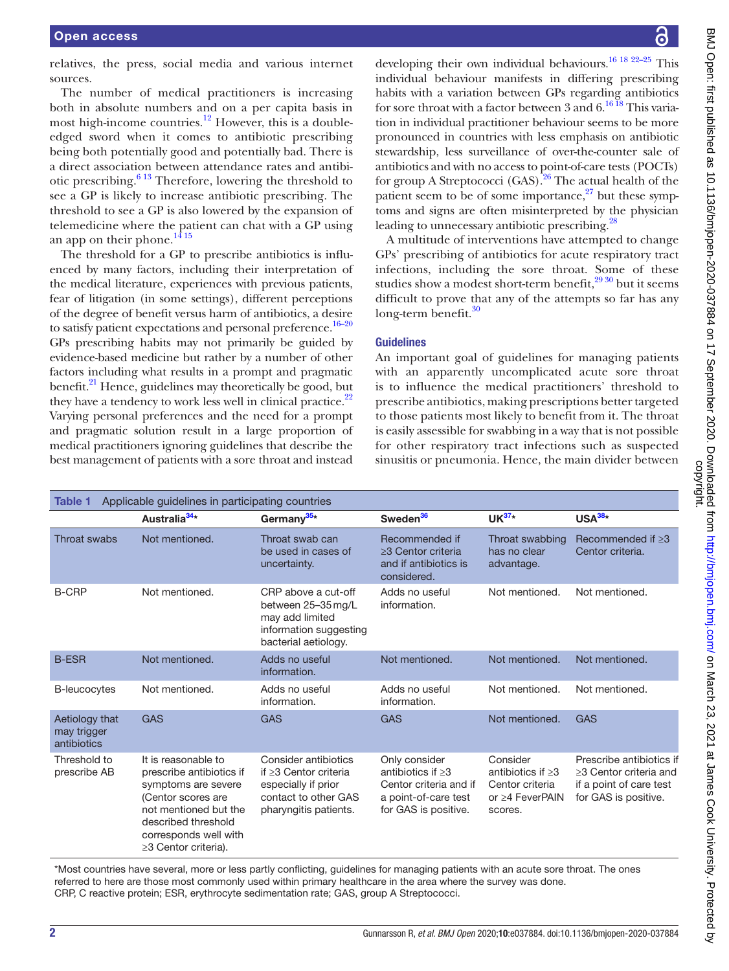relatives, the press, social media and various internet sources.

The number of medical practitioners is increasing both in absolute numbers and on a per capita basis in most high-income countries.<sup>12</sup> However, this is a doubleedged sword when it comes to antibiotic prescribing being both potentially good and potentially bad. There is a direct association between attendance rates and antibiotic prescribing. $6^{13}$  Therefore, lowering the threshold to see a GP is likely to increase antibiotic prescribing. The threshold to see a GP is also lowered by the expansion of telemedicine where the patient can chat with a GP using an app on their phone.<sup>[14 15](#page-9-6)</sup>

The threshold for a GP to prescribe antibiotics is influenced by many factors, including their interpretation of the medical literature, experiences with previous patients, fear of litigation (in some settings), different perceptions of the degree of benefit versus harm of antibiotics, a desire to satisfy patient expectations and personal preference.<sup>16-20</sup> GPs prescribing habits may not primarily be guided by evidence-based medicine but rather by a number of other factors including what results in a prompt and pragmatic benefit.<sup>[21](#page-9-8)</sup> Hence, guidelines may theoretically be good, but they have a tendency to work less well in clinical practice. $2^2$ Varying personal preferences and the need for a prompt and pragmatic solution result in a large proportion of medical practitioners ignoring guidelines that describe the best management of patients with a sore throat and instead

BMJ Open: first published as 10.1136/bmjopen-2020-037884 on 17 September 2020. Downloaded from http://bmjopen.bmj.com/ on March 23, 2021 at James Cook University. Protected by<br>copyright. BMJ Open: first published as 10.1136/bmjopen-2020-037884 on 17 September 2020. Downloaded from Dminom op March 23, 2021 at James Cook University. Protected by

developing their own individual behaviours.<sup>16 18 22-25</sup> This individual behaviour manifests in differing prescribing habits with a variation between GPs regarding antibiotics for sore throat with a factor between 3 and  $6^{16}$ <sup>18</sup>. This variation in individual practitioner behaviour seems to be more pronounced in countries with less emphasis on antibiotic stewardship, less surveillance of over-the-counter sale of antibiotics and with no access to point-of-care tests (POCTs) for group A Streptococci (GAS).<sup>[26](#page-9-10)</sup> The actual health of the patient seem to be of some importance, $27$  but these symptoms and signs are often misinterpreted by the physician leading to unnecessary antibiotic prescribing.[28](#page-9-12)

A multitude of interventions have attempted to change GPs' prescribing of antibiotics for acute respiratory tract infections, including the sore throat. Some of these studies show a modest short-term benefit,  $2930$  but it seems difficult to prove that any of the attempts so far has any  $long-term benefit.<sup>30</sup>$  $long-term benefit.<sup>30</sup>$  $long-term benefit.<sup>30</sup>$ 

#### Guidelines

An important goal of guidelines for managing patients with an apparently uncomplicated acute sore throat is to influence the medical practitioners' threshold to prescribe antibiotics, making prescriptions better targeted to those patients most likely to benefit from it. The throat is easily assessible for swabbing in a way that is not possible for other respiratory tract infections such as suspected sinusitis or pneumonia. Hence, the main divider between

<span id="page-1-0"></span>

| <b>Table 1</b>                               | Applicable guidelines in participating countries                                                                                                                                              |                                                                                                                       |                                                                                                                    |                                                                                            |                                                                                                             |
|----------------------------------------------|-----------------------------------------------------------------------------------------------------------------------------------------------------------------------------------------------|-----------------------------------------------------------------------------------------------------------------------|--------------------------------------------------------------------------------------------------------------------|--------------------------------------------------------------------------------------------|-------------------------------------------------------------------------------------------------------------|
|                                              | Australia <sup>34*</sup>                                                                                                                                                                      | Germany <sup>35*</sup>                                                                                                | Sweden <sup>36</sup>                                                                                               | $UK37*$                                                                                    | USA <sup>38*</sup>                                                                                          |
| Throat swabs                                 | Not mentioned.                                                                                                                                                                                | Throat swab can<br>be used in cases of<br>uncertainty.                                                                | Recommended if<br>$\geq$ 3 Centor criteria<br>and if antibiotics is<br>considered.                                 | Throat swabbing<br>has no clear<br>advantage.                                              | Recommended if $\geq$ 3<br>Centor criteria.                                                                 |
| <b>B-CRP</b>                                 | Not mentioned.                                                                                                                                                                                | CRP above a cut-off<br>between 25-35 mg/L<br>may add limited<br>information suggesting<br>bacterial aetiology.        | Adds no useful<br>information.                                                                                     | Not mentioned.                                                                             | Not mentioned.                                                                                              |
| <b>B-ESR</b>                                 | Not mentioned.                                                                                                                                                                                | Adds no useful<br>information.                                                                                        | Not mentioned.                                                                                                     | Not mentioned.                                                                             | Not mentioned.                                                                                              |
| <b>B-leucocytes</b>                          | Not mentioned.                                                                                                                                                                                | Adds no useful<br>information.                                                                                        | Adds no useful<br>information.                                                                                     | Not mentioned.                                                                             | Not mentioned.                                                                                              |
| Aetiology that<br>may trigger<br>antibiotics | <b>GAS</b>                                                                                                                                                                                    | GAS                                                                                                                   | <b>GAS</b>                                                                                                         | Not mentioned.                                                                             | <b>GAS</b>                                                                                                  |
| Threshold to<br>prescribe AB                 | It is reasonable to<br>prescribe antibiotics if<br>symptoms are severe<br>(Centor scores are<br>not mentioned but the<br>described threshold<br>corresponds well with<br>≥3 Centor criteria). | Consider antibiotics<br>if ≥3 Centor criteria<br>especially if prior<br>contact to other GAS<br>pharyngitis patients. | Only consider<br>antibiotics if $\geq$ 3<br>Centor criteria and if<br>a point-of-care test<br>for GAS is positive. | Consider<br>antibiotics if $\geq$ 3<br>Centor criteria<br>or $\geq 4$ FeverPAIN<br>scores. | Prescribe antibiotics if<br>$\geq$ 3 Centor criteria and<br>if a point of care test<br>for GAS is positive. |

\*Most countries have several, more or less partly conflicting, guidelines for managing patients with an acute sore throat. The ones referred to here are those most commonly used within primary healthcare in the area where the survey was done. CRP, C reactive protein; ESR, erythrocyte sedimentation rate; GAS, group A Streptococci.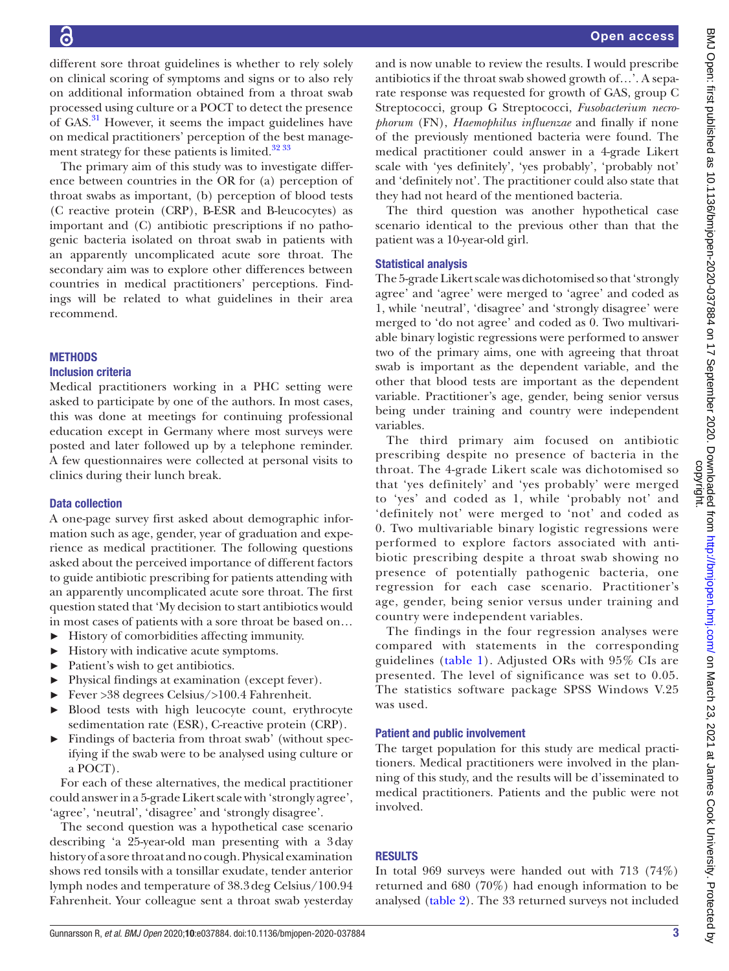different sore throat guidelines is whether to rely solely on clinical scoring of symptoms and signs or to also rely on additional information obtained from a throat swab processed using culture or a POCT to detect the presence of GAS.[31](#page-9-20) However, it seems the impact guidelines have on medical practitioners' perception of the best management strategy for these patients is limited. $3233$ 

The primary aim of this study was to investigate difference between countries in the OR for (a) perception of throat swabs as important, (b) perception of blood tests (C reactive protein (CRP), B-ESR and B-leucocytes) as important and (C) antibiotic prescriptions if no pathogenic bacteria isolated on throat swab in patients with an apparently uncomplicated acute sore throat. The secondary aim was to explore other differences between countries in medical practitioners' perceptions. Findings will be related to what guidelines in their area recommend.

#### **METHODS**

#### Inclusion criteria

Medical practitioners working in a PHC setting were asked to participate by one of the authors. In most cases, this was done at meetings for continuing professional education except in Germany where most surveys were posted and later followed up by a telephone reminder. A few questionnaires were collected at personal visits to clinics during their lunch break.

## Data collection

A one-page survey first asked about demographic information such as age, gender, year of graduation and experience as medical practitioner. The following questions asked about the perceived importance of different factors to guide antibiotic prescribing for patients attending with an apparently uncomplicated acute sore throat. The first question stated that 'My decision to start antibiotics would in most cases of patients with a sore throat be based on…

- ► History of comorbidities affecting immunity.
- ► History with indicative acute symptoms.
- ► Patient's wish to get antibiotics.
- ► Physical findings at examination (except fever).
- ► Fever >38 degrees Celsius/>100.4 Fahrenheit.
- ► Blood tests with high leucocyte count, erythrocyte sedimentation rate (ESR), C-reactive protein (CRP).
- ► Findings of bacteria from throat swab' (without specifying if the swab were to be analysed using culture or a POCT).

For each of these alternatives, the medical practitioner could answer in a 5-grade Likert scale with 'strongly agree', 'agree', 'neutral', 'disagree' and 'strongly disagree'.

The second question was a hypothetical case scenario describing 'a 25-year-old man presenting with a 3day history of a sore throat and no cough. Physical examination shows red tonsils with a tonsillar exudate, tender anterior lymph nodes and temperature of 38.3deg Celsius/100.94 Fahrenheit. Your colleague sent a throat swab yesterday

and is now unable to review the results. I would prescribe antibiotics if the throat swab showed growth of…'. A separate response was requested for growth of GAS, group C Streptococci, group G Streptococci, *Fusobacterium necrophorum* (FN), *Haemophilus influenzae* and finally if none of the previously mentioned bacteria were found. The medical practitioner could answer in a 4-grade Likert scale with 'yes definitely', 'yes probably', 'probably not' and 'definitely not'. The practitioner could also state that they had not heard of the mentioned bacteria.

The third question was another hypothetical case scenario identical to the previous other than that the patient was a 10-year-old girl.

## Statistical analysis

The 5-grade Likert scale was dichotomised so that 'strongly agree' and 'agree' were merged to 'agree' and coded as 1, while 'neutral', 'disagree' and 'strongly disagree' were merged to 'do not agree' and coded as 0. Two multivariable binary logistic regressions were performed to answer two of the primary aims, one with agreeing that throat swab is important as the dependent variable, and the other that blood tests are important as the dependent variable. Practitioner's age, gender, being senior versus being under training and country were independent variables.

The third primary aim focused on antibiotic prescribing despite no presence of bacteria in the throat. The 4-grade Likert scale was dichotomised so that 'yes definitely' and 'yes probably' were merged to 'yes' and coded as 1, while 'probably not' and 'definitely not' were merged to 'not' and coded as 0. Two multivariable binary logistic regressions were performed to explore factors associated with antibiotic prescribing despite a throat swab showing no presence of potentially pathogenic bacteria, one regression for each case scenario. Practitioner's age, gender, being senior versus under training and country were independent variables.

The findings in the four regression analyses were compared with statements in the corresponding guidelines ([table](#page-1-0) 1). Adjusted ORs with 95% CIs are presented. The level of significance was set to 0.05. The statistics software package SPSS Windows V.25 was used.

## Patient and public involvement

The target population for this study are medical practitioners. Medical practitioners were involved in the planning of this study, and the results will be d'isseminated to medical practitioners. Patients and the public were not involved.

## RESULTS

In total 969 surveys were handed out with 713 (74%) returned and 680 (70%) had enough information to be analysed [\(table](#page-3-0) 2). The 33 returned surveys not included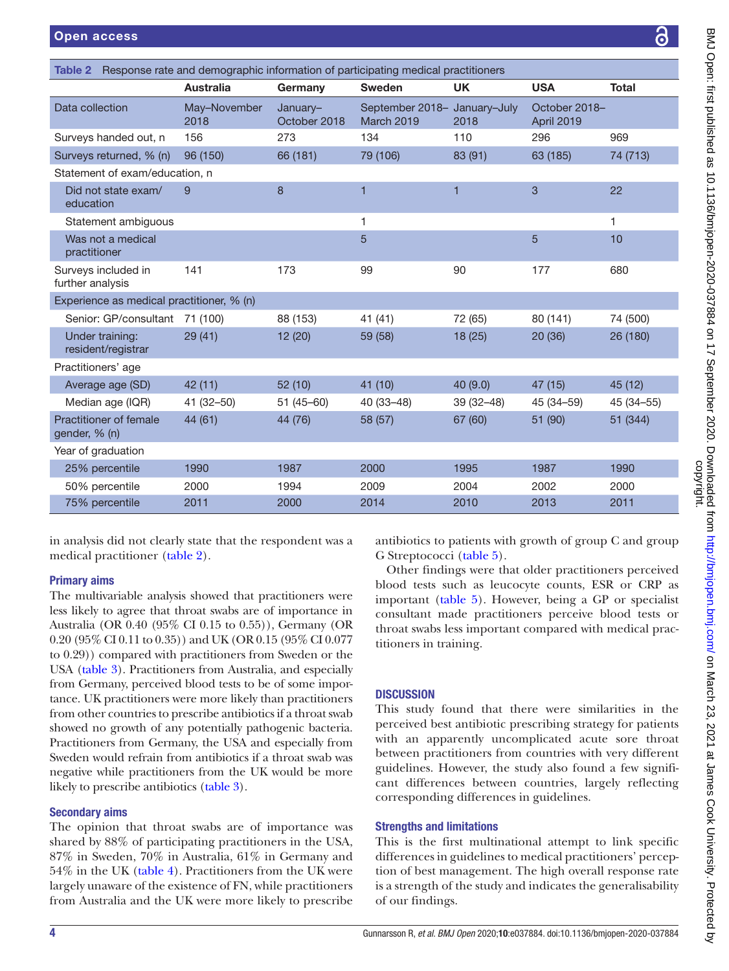<span id="page-3-0"></span>

|                                           | <b>Australia</b>     | Germany                  | <b>Sweden</b>                                     | <b>UK</b>      | <b>USA</b>                  | <b>Total</b> |
|-------------------------------------------|----------------------|--------------------------|---------------------------------------------------|----------------|-----------------------------|--------------|
| Data collection                           | May-November<br>2018 | January-<br>October 2018 | September 2018- January-July<br><b>March 2019</b> | 2018           | October 2018-<br>April 2019 |              |
| Surveys handed out, n                     | 156                  | 273                      | 134                                               | 110            | 296                         | 969          |
| Surveys returned, % (n)                   | 96 (150)             | 66 (181)                 | 79 (106)                                          | 83 (91)        | 63 (185)                    | 74 (713)     |
| Statement of exam/education, n            |                      |                          |                                                   |                |                             |              |
| Did not state exam/<br>education          | 9                    | 8                        | $\overline{1}$                                    | $\overline{1}$ | 3                           | 22           |
| Statement ambiguous                       |                      |                          | 1                                                 |                |                             | 1            |
| Was not a medical<br>practitioner         |                      |                          | 5                                                 |                | 5                           | 10           |
| Surveys included in<br>further analysis   | 141                  | 173                      | 99                                                | 90             | 177                         | 680          |
| Experience as medical practitioner, % (n) |                      |                          |                                                   |                |                             |              |
| Senior: GP/consultant 71 (100)            |                      | 88 (153)                 | 41(41)                                            | 72 (65)        | 80 (141)                    | 74 (500)     |
| Under training:<br>resident/registrar     | 29(41)               | 12 (20)                  | 59 (58)                                           | 18 (25)        | 20(36)                      | 26 (180)     |
| Practitioners' age                        |                      |                          |                                                   |                |                             |              |
| Average age (SD)                          | 42 (11)              | 52(10)                   | 41 (10)                                           | 40 (9.0)       | 47 (15)                     | 45 (12)      |
| Median age (IQR)                          | 41 (32-50)           | $51(45 - 60)$            | 40 (33-48)                                        | $39(32-48)$    | 45 (34-59)                  | 45 (34-55)   |
| Practitioner of female<br>gender, % (n)   | 44 (61)              | 44 (76)                  | 58 (57)                                           | 67 (60)        | 51 (90)                     | 51 (344)     |
| Year of graduation                        |                      |                          |                                                   |                |                             |              |
| 25% percentile                            | 1990                 | 1987                     | 2000                                              | 1995           | 1987                        | 1990         |
| 50% percentile                            | 2000                 | 1994                     | 2009                                              | 2004           | 2002                        | 2000         |
| 75% percentile                            | 2011                 | 2000                     | 2014                                              | 2010           | 2013                        | 2011         |

in analysis did not clearly state that the respondent was a medical practitioner [\(table](#page-3-0) 2).

## Primary aims

The multivariable analysis showed that practitioners were less likely to agree that throat swabs are of importance in Australia (OR 0.40 (95% CI 0.15 to 0.55)), Germany (OR 0.20 (95% CI 0.11 to 0.35)) and UK (OR 0.15 (95% CI 0.077 to 0.29)) compared with practitioners from Sweden or the USA [\(table](#page-4-0) 3). Practitioners from Australia, and especially from Germany, perceived blood tests to be of some importance. UK practitioners were more likely than practitioners from other countries to prescribe antibiotics if a throat swab showed no growth of any potentially pathogenic bacteria. Practitioners from Germany, the USA and especially from Sweden would refrain from antibiotics if a throat swab was negative while practitioners from the UK would be more likely to prescribe antibiotics [\(table](#page-4-0) 3).

## Secondary aims

The opinion that throat swabs are of importance was shared by 88% of participating practitioners in the USA, 87% in Sweden, 70% in Australia, 61% in Germany and 54% in the UK ([table](#page-5-0) 4). Practitioners from the UK were largely unaware of the existence of FN, while practitioners from Australia and the UK were more likely to prescribe

antibiotics to patients with growth of group C and group G Streptococci [\(table](#page-7-0) 5).

Other findings were that older practitioners perceived blood tests such as leucocyte counts, ESR or CRP as important ([table](#page-7-0) 5). However, being a GP or specialist consultant made practitioners perceive blood tests or throat swabs less important compared with medical practitioners in training.

## **DISCUSSION**

This study found that there were similarities in the perceived best antibiotic prescribing strategy for patients with an apparently uncomplicated acute sore throat between practitioners from countries with very different guidelines. However, the study also found a few significant differences between countries, largely reflecting corresponding differences in guidelines.

## Strengths and limitations

This is the first multinational attempt to link specific differences in guidelines to medical practitioners' perception of best management. The high overall response rate is a strength of the study and indicates the generalisability of our findings.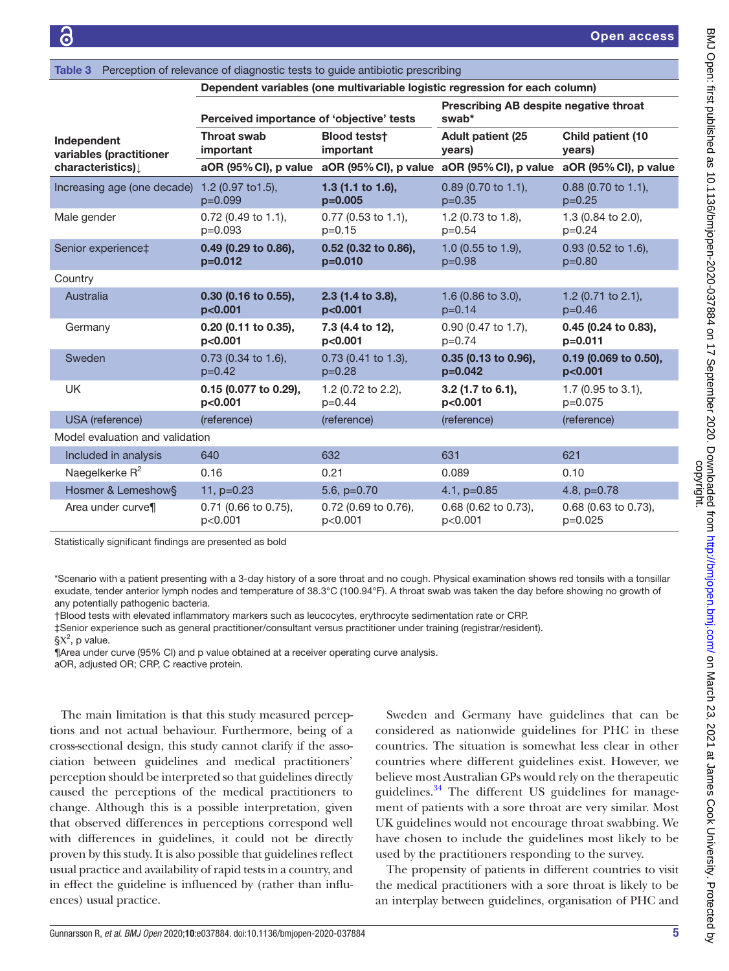<span id="page-4-0"></span>

|                                                |                                           |                                          | Dependent variables (one multivariable logistic regression for each column)             |                                   |
|------------------------------------------------|-------------------------------------------|------------------------------------------|-----------------------------------------------------------------------------------------|-----------------------------------|
|                                                | Perceived importance of 'objective' tests |                                          | Prescribing AB despite negative throat<br>swab*                                         |                                   |
| Independent<br>variables (practitioner         | <b>Throat swab</b><br>important           | <b>Blood testst</b><br>important         | <b>Adult patient (25</b><br>years)                                                      | Child patient (10<br>years)       |
| characteristics)                               |                                           |                                          | aOR (95% CI), p value aOR (95% CI), p value aOR (95% CI), p value aOR (95% CI), p value |                                   |
| Increasing age (one decade) 1.2 (0.97 to 1.5), | p=0.099                                   | $1.3(1.1 \text{ to } 1.6),$<br>$p=0.005$ | 0.89 (0.70 to 1.1),<br>$p=0.35$                                                         | 0.88 (0.70 to 1.1),<br>$p=0.25$   |
| Male gender                                    | $0.72$ (0.49 to 1.1),<br>$p=0.093$        | $0.77$ (0.53 to 1.1),<br>$p=0.15$        | 1.2 (0.73 to 1.8),<br>$p=0.54$                                                          | 1.3 (0.84 to 2.0),<br>$p=0.24$    |
| Senior experience‡                             | 0.49 (0.29 to 0.86),<br>$p=0.012$         | 0.52 (0.32 to 0.86),<br>$p=0.010$        | 1.0 (0.55 to 1.9),<br>$p=0.98$                                                          | 0.93 (0.52 to 1.6),<br>$p=0.80$   |
| Country                                        |                                           |                                          |                                                                                         |                                   |
| Australia                                      | 0.30 (0.16 to 0.55),<br>p<0.001           | 2.3 (1.4 to 3.8),<br>p<0.001             | 1.6 (0.86 to 3.0),<br>$p=0.14$                                                          | 1.2 (0.71 to 2.1),<br>$p=0.46$    |
| Germany                                        | 0.20 (0.11 to 0.35),<br>p<0.001           | 7.3 (4.4 to 12),<br>p<0.001              | 0.90 (0.47 to 1.7),<br>$p=0.74$                                                         | 0.45 (0.24 to 0.83),<br>$p=0.011$ |
| Sweden                                         | $0.73$ (0.34 to 1.6),<br>$p=0.42$         | 0.73 (0.41 to 1.3),<br>$p=0.28$          | 0.35 (0.13 to 0.96),<br>$p=0.042$                                                       | 0.19 (0.069 to 0.50),<br>p<0.001  |
| <b>UK</b>                                      | 0.15 (0.077 to 0.29),<br>p<0.001          | 1.2 (0.72 to 2.2),<br>$p=0.44$           | $3.2$ (1.7 to 6.1),<br>p<0.001                                                          | 1.7 (0.95 to 3.1),<br>p=0.075     |
| USA (reference)                                | (reference)                               | (reference)                              | (reference)                                                                             | (reference)                       |
| Model evaluation and validation                |                                           |                                          |                                                                                         |                                   |
| Included in analysis                           | 640                                       | 632                                      | 631                                                                                     | 621                               |
| Naegelkerke R <sup>2</sup>                     | 0.16                                      | 0.21                                     | 0.089                                                                                   | 0.10                              |
| Hosmer & Lemeshow§                             | 11, $p=0.23$                              | 5.6, $p=0.70$                            | $4.1, p=0.85$                                                                           | 4.8, $p=0.78$                     |
| Area under curve¶                              | 0.71 (0.66 to 0.75),<br>p<0.001           | 0.72 (0.69 to 0.76),<br>p<0.001          | 0.68 (0.62 to 0.73),<br>p<0.001                                                         | 0.68 (0.63 to 0.73),<br>p=0.025   |

Statistically significant findings are presented as bold

\*Scenario with a patient presenting with a 3-day history of a sore throat and no cough. Physical examination shows red tonsils with a tonsillar exudate, tender anterior lymph nodes and temperature of 38.3°C (100.94°F). A throat swab was taken the day before showing no growth of any potentially pathogenic bacteria.

†Blood tests with elevated inflammatory markers such as leucocytes, erythrocyte sedimentation rate or CRP.

Table 3 Perception of relevance of diagnostic tests to guide antibiotic prescribing

‡Senior experience such as general practitioner/consultant versus practitioner under training (registrar/resident).  $\S X^2$ , p value.

¶Area under curve (95% CI) and p value obtained at a receiver operating curve analysis.

aOR, adjusted OR; CRP, C reactive protein.

The main limitation is that this study measured perceptions and not actual behaviour. Furthermore, being of a cross-sectional design, this study cannot clarify if the association between guidelines and medical practitioners' perception should be interpreted so that guidelines directly caused the perceptions of the medical practitioners to change. Although this is a possible interpretation, given that observed differences in perceptions correspond well with differences in guidelines, it could not be directly proven by this study. It is also possible that guidelines reflect usual practice and availability of rapid tests in a country, and in effect the guideline is influenced by (rather than influences) usual practice.

Sweden and Germany have guidelines that can be considered as nationwide guidelines for PHC in these countries. The situation is somewhat less clear in other countries where different guidelines exist. However, we believe most Australian GPs would rely on the therapeutic guidelines.<sup>34</sup> The different US guidelines for management of patients with a sore throat are very similar. Most UK guidelines would not encourage throat swabbing. We have chosen to include the guidelines most likely to be used by the practitioners responding to the survey.

The propensity of patients in different countries to visit the medical practitioners with a sore throat is likely to be an interplay between guidelines, organisation of PHC and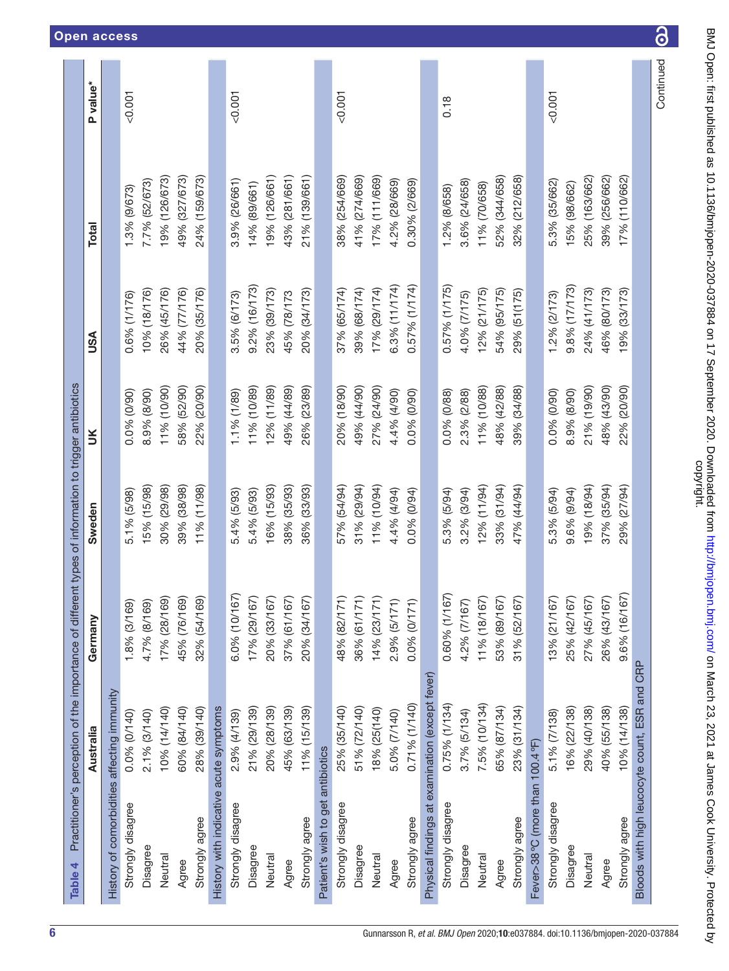| pen access<br>< 0.001<br>0.001<br>< 0.001<br>< 0.001<br>0.18<br>19% (126/661)<br>43% (281/661)<br>41% (274/669)<br>17% (111/669)<br>52% (344/658)<br>49% (327/673)<br>24% (159/673)<br>21% (139/661)<br>38% (254/669)<br>32% (212/658)<br>25% (163/662)<br>19% (126/673)<br>39% (256/662)<br>17% (110/662)<br>3.9% (26/661)<br>4.2% (28/669)<br>3.6% (24/658)<br>5.3% (35/662)<br>7.7% (52/673)<br>0.30% (2/669)<br>14% (89/661)<br>11% (70/658)<br>15% (98/662)<br>1.2% (8/658)<br>1.3% (9/673)<br>0.57% (1/174)<br>6.3% (11/174)<br>9.8% (17/173)<br>9.2% (16/173)<br>0.57% (1/175)<br>39% (68/174)<br>17% (29/174)<br>10% (18/176)<br>37% (65/174)<br>12% (21/175)<br>54% (95/175)<br>26% (45/176)<br>44% (77/176)<br>20% (35/176)<br>23% (39/173)<br>20% (34/173)<br>24% (41/173)<br>19% (33/173)<br>29% (51(175)<br>46% (80/173)<br>45% (78/173<br>1.2% (2/173)<br>4.0% (7/175)<br>0.6% (1/176)<br>3.5% (6/173)<br>49% (44/90)<br>27% (24/90)<br>22% (20/90)<br>49% (44/89)<br>20% (18/90)<br>11% (10/88)<br>48% (42/88)<br>21% (19/90)<br>48% (43/90)<br>22% (20/90)<br>11% (10/90)<br>58% (52/90)<br>11% (10/89)<br>12% (11/89)<br>26% (23/89)<br>39% (34/88)<br>2.3% (2/88)<br>0.0% (0/90)<br>8.9% (8/90)<br>8.9% (8/90)<br>0.0% (0/90)<br>$1.1%$ (1/89)<br>4.4% (4/90)<br>0.0% (0/90)<br>$0.0%$ (O/88)<br>31% (29/94)<br>11% (10/94)<br>12% (11/94)<br>33% (31/94)<br>19% (18/94)<br>37% (35/94)<br>15% (15/98)<br>30% (29/98)<br>39% (38/98)<br>11% (11/98)<br>16% (15/93)<br>38% (35/93)<br>47% (44/94)<br>29% (27/94)<br>36% (33/93)<br>57% (54/94)<br>3.2% (3/94)<br>5.3% (5/94)<br>9.6% (9/94)<br>4.4% (4/94)<br>0.0% (0/94)<br>5.1% (5/98)<br>5.4% (5/93)<br>5.3% (5/94)<br>5.4% (5/93)<br>0.60% (1/167)<br>9.6% (16/167)<br>6.0% (10/167)<br>20% (33/167)<br>36% (61/171)<br>13% (21/167)<br>17% (28/169)<br>45% (76/169)<br>32% (54/169)<br>17% (29/167)<br>37% (61/167)<br>14% (23/171)<br>11% (18/167)<br>31% (52/167)<br>25% (42/167)<br>26% (43/167)<br>48% (82/171)<br>53% (89/167)<br>27% (45/167)<br>20% (34/167)<br>4.2% (7/167)<br>4.7% (8/169)<br>2.9% (5/171)<br>0.0% (0/171)<br>1.8% (3/169) | affecting immunity<br>Australia<br>History of comorbidities | Practitioner's perception of the importance of different types of information to trigger antibiotics<br>Germany | Sweden | $\leq$ | USA | Total | P value* |
|---------------------------------------------------------------------------------------------------------------------------------------------------------------------------------------------------------------------------------------------------------------------------------------------------------------------------------------------------------------------------------------------------------------------------------------------------------------------------------------------------------------------------------------------------------------------------------------------------------------------------------------------------------------------------------------------------------------------------------------------------------------------------------------------------------------------------------------------------------------------------------------------------------------------------------------------------------------------------------------------------------------------------------------------------------------------------------------------------------------------------------------------------------------------------------------------------------------------------------------------------------------------------------------------------------------------------------------------------------------------------------------------------------------------------------------------------------------------------------------------------------------------------------------------------------------------------------------------------------------------------------------------------------------------------------------------------------------------------------------------------------------------------------------------------------------------------------------------------------------------------------------------------------------------------------------------------------------------------------------------------------------------------------------------------------------------------------------------------------------------------|-------------------------------------------------------------|-----------------------------------------------------------------------------------------------------------------|--------|--------|-----|-------|----------|
|                                                                                                                                                                                                                                                                                                                                                                                                                                                                                                                                                                                                                                                                                                                                                                                                                                                                                                                                                                                                                                                                                                                                                                                                                                                                                                                                                                                                                                                                                                                                                                                                                                                                                                                                                                                                                                                                                                                                                                                                                                                                                                                           | 0.0% (0/140)                                                |                                                                                                                 |        |        |     |       |          |
|                                                                                                                                                                                                                                                                                                                                                                                                                                                                                                                                                                                                                                                                                                                                                                                                                                                                                                                                                                                                                                                                                                                                                                                                                                                                                                                                                                                                                                                                                                                                                                                                                                                                                                                                                                                                                                                                                                                                                                                                                                                                                                                           | 2.1% (3/140)                                                |                                                                                                                 |        |        |     |       |          |
|                                                                                                                                                                                                                                                                                                                                                                                                                                                                                                                                                                                                                                                                                                                                                                                                                                                                                                                                                                                                                                                                                                                                                                                                                                                                                                                                                                                                                                                                                                                                                                                                                                                                                                                                                                                                                                                                                                                                                                                                                                                                                                                           | 10% (14/140)                                                |                                                                                                                 |        |        |     |       |          |
|                                                                                                                                                                                                                                                                                                                                                                                                                                                                                                                                                                                                                                                                                                                                                                                                                                                                                                                                                                                                                                                                                                                                                                                                                                                                                                                                                                                                                                                                                                                                                                                                                                                                                                                                                                                                                                                                                                                                                                                                                                                                                                                           | 60% (84/140)                                                |                                                                                                                 |        |        |     |       |          |
|                                                                                                                                                                                                                                                                                                                                                                                                                                                                                                                                                                                                                                                                                                                                                                                                                                                                                                                                                                                                                                                                                                                                                                                                                                                                                                                                                                                                                                                                                                                                                                                                                                                                                                                                                                                                                                                                                                                                                                                                                                                                                                                           | 28% (39/140)                                                |                                                                                                                 |        |        |     |       |          |
|                                                                                                                                                                                                                                                                                                                                                                                                                                                                                                                                                                                                                                                                                                                                                                                                                                                                                                                                                                                                                                                                                                                                                                                                                                                                                                                                                                                                                                                                                                                                                                                                                                                                                                                                                                                                                                                                                                                                                                                                                                                                                                                           | History with indicative acute symptoms                      |                                                                                                                 |        |        |     |       |          |
|                                                                                                                                                                                                                                                                                                                                                                                                                                                                                                                                                                                                                                                                                                                                                                                                                                                                                                                                                                                                                                                                                                                                                                                                                                                                                                                                                                                                                                                                                                                                                                                                                                                                                                                                                                                                                                                                                                                                                                                                                                                                                                                           | 2.9% (4/139)                                                |                                                                                                                 |        |        |     |       |          |
|                                                                                                                                                                                                                                                                                                                                                                                                                                                                                                                                                                                                                                                                                                                                                                                                                                                                                                                                                                                                                                                                                                                                                                                                                                                                                                                                                                                                                                                                                                                                                                                                                                                                                                                                                                                                                                                                                                                                                                                                                                                                                                                           | 21% (29/139)                                                |                                                                                                                 |        |        |     |       |          |
|                                                                                                                                                                                                                                                                                                                                                                                                                                                                                                                                                                                                                                                                                                                                                                                                                                                                                                                                                                                                                                                                                                                                                                                                                                                                                                                                                                                                                                                                                                                                                                                                                                                                                                                                                                                                                                                                                                                                                                                                                                                                                                                           | 20% (28/139)                                                |                                                                                                                 |        |        |     |       |          |
|                                                                                                                                                                                                                                                                                                                                                                                                                                                                                                                                                                                                                                                                                                                                                                                                                                                                                                                                                                                                                                                                                                                                                                                                                                                                                                                                                                                                                                                                                                                                                                                                                                                                                                                                                                                                                                                                                                                                                                                                                                                                                                                           | 45% (63/139)                                                |                                                                                                                 |        |        |     |       |          |
|                                                                                                                                                                                                                                                                                                                                                                                                                                                                                                                                                                                                                                                                                                                                                                                                                                                                                                                                                                                                                                                                                                                                                                                                                                                                                                                                                                                                                                                                                                                                                                                                                                                                                                                                                                                                                                                                                                                                                                                                                                                                                                                           | 11% (15/139)                                                |                                                                                                                 |        |        |     |       |          |
|                                                                                                                                                                                                                                                                                                                                                                                                                                                                                                                                                                                                                                                                                                                                                                                                                                                                                                                                                                                                                                                                                                                                                                                                                                                                                                                                                                                                                                                                                                                                                                                                                                                                                                                                                                                                                                                                                                                                                                                                                                                                                                                           |                                                             |                                                                                                                 |        |        |     |       |          |
|                                                                                                                                                                                                                                                                                                                                                                                                                                                                                                                                                                                                                                                                                                                                                                                                                                                                                                                                                                                                                                                                                                                                                                                                                                                                                                                                                                                                                                                                                                                                                                                                                                                                                                                                                                                                                                                                                                                                                                                                                                                                                                                           | 25% (35/140)                                                |                                                                                                                 |        |        |     |       |          |
|                                                                                                                                                                                                                                                                                                                                                                                                                                                                                                                                                                                                                                                                                                                                                                                                                                                                                                                                                                                                                                                                                                                                                                                                                                                                                                                                                                                                                                                                                                                                                                                                                                                                                                                                                                                                                                                                                                                                                                                                                                                                                                                           | 51% (72/140)                                                |                                                                                                                 |        |        |     |       |          |
|                                                                                                                                                                                                                                                                                                                                                                                                                                                                                                                                                                                                                                                                                                                                                                                                                                                                                                                                                                                                                                                                                                                                                                                                                                                                                                                                                                                                                                                                                                                                                                                                                                                                                                                                                                                                                                                                                                                                                                                                                                                                                                                           | 18% (25(140)                                                |                                                                                                                 |        |        |     |       |          |
|                                                                                                                                                                                                                                                                                                                                                                                                                                                                                                                                                                                                                                                                                                                                                                                                                                                                                                                                                                                                                                                                                                                                                                                                                                                                                                                                                                                                                                                                                                                                                                                                                                                                                                                                                                                                                                                                                                                                                                                                                                                                                                                           | 5.0% (7/140)                                                |                                                                                                                 |        |        |     |       |          |
|                                                                                                                                                                                                                                                                                                                                                                                                                                                                                                                                                                                                                                                                                                                                                                                                                                                                                                                                                                                                                                                                                                                                                                                                                                                                                                                                                                                                                                                                                                                                                                                                                                                                                                                                                                                                                                                                                                                                                                                                                                                                                                                           | 0.71% (1/140)                                               |                                                                                                                 |        |        |     |       |          |
|                                                                                                                                                                                                                                                                                                                                                                                                                                                                                                                                                                                                                                                                                                                                                                                                                                                                                                                                                                                                                                                                                                                                                                                                                                                                                                                                                                                                                                                                                                                                                                                                                                                                                                                                                                                                                                                                                                                                                                                                                                                                                                                           |                                                             | Physical findings at examination (except fever                                                                  |        |        |     |       |          |
|                                                                                                                                                                                                                                                                                                                                                                                                                                                                                                                                                                                                                                                                                                                                                                                                                                                                                                                                                                                                                                                                                                                                                                                                                                                                                                                                                                                                                                                                                                                                                                                                                                                                                                                                                                                                                                                                                                                                                                                                                                                                                                                           | 0.75% (1/134)                                               |                                                                                                                 |        |        |     |       |          |
|                                                                                                                                                                                                                                                                                                                                                                                                                                                                                                                                                                                                                                                                                                                                                                                                                                                                                                                                                                                                                                                                                                                                                                                                                                                                                                                                                                                                                                                                                                                                                                                                                                                                                                                                                                                                                                                                                                                                                                                                                                                                                                                           | 3.7% (5/134)                                                |                                                                                                                 |        |        |     |       |          |
|                                                                                                                                                                                                                                                                                                                                                                                                                                                                                                                                                                                                                                                                                                                                                                                                                                                                                                                                                                                                                                                                                                                                                                                                                                                                                                                                                                                                                                                                                                                                                                                                                                                                                                                                                                                                                                                                                                                                                                                                                                                                                                                           |                                                             | 7.5% (10/134)                                                                                                   |        |        |     |       |          |
|                                                                                                                                                                                                                                                                                                                                                                                                                                                                                                                                                                                                                                                                                                                                                                                                                                                                                                                                                                                                                                                                                                                                                                                                                                                                                                                                                                                                                                                                                                                                                                                                                                                                                                                                                                                                                                                                                                                                                                                                                                                                                                                           | 65% (87/134)                                                |                                                                                                                 |        |        |     |       |          |
|                                                                                                                                                                                                                                                                                                                                                                                                                                                                                                                                                                                                                                                                                                                                                                                                                                                                                                                                                                                                                                                                                                                                                                                                                                                                                                                                                                                                                                                                                                                                                                                                                                                                                                                                                                                                                                                                                                                                                                                                                                                                                                                           | 23% (31/134)                                                |                                                                                                                 |        |        |     |       |          |
|                                                                                                                                                                                                                                                                                                                                                                                                                                                                                                                                                                                                                                                                                                                                                                                                                                                                                                                                                                                                                                                                                                                                                                                                                                                                                                                                                                                                                                                                                                                                                                                                                                                                                                                                                                                                                                                                                                                                                                                                                                                                                                                           |                                                             |                                                                                                                 |        |        |     |       |          |
|                                                                                                                                                                                                                                                                                                                                                                                                                                                                                                                                                                                                                                                                                                                                                                                                                                                                                                                                                                                                                                                                                                                                                                                                                                                                                                                                                                                                                                                                                                                                                                                                                                                                                                                                                                                                                                                                                                                                                                                                                                                                                                                           | 5.1% (7/138)                                                |                                                                                                                 |        |        |     |       |          |
|                                                                                                                                                                                                                                                                                                                                                                                                                                                                                                                                                                                                                                                                                                                                                                                                                                                                                                                                                                                                                                                                                                                                                                                                                                                                                                                                                                                                                                                                                                                                                                                                                                                                                                                                                                                                                                                                                                                                                                                                                                                                                                                           | 16% (22/138)                                                |                                                                                                                 |        |        |     |       |          |
|                                                                                                                                                                                                                                                                                                                                                                                                                                                                                                                                                                                                                                                                                                                                                                                                                                                                                                                                                                                                                                                                                                                                                                                                                                                                                                                                                                                                                                                                                                                                                                                                                                                                                                                                                                                                                                                                                                                                                                                                                                                                                                                           | 29% (40/138)                                                |                                                                                                                 |        |        |     |       |          |
|                                                                                                                                                                                                                                                                                                                                                                                                                                                                                                                                                                                                                                                                                                                                                                                                                                                                                                                                                                                                                                                                                                                                                                                                                                                                                                                                                                                                                                                                                                                                                                                                                                                                                                                                                                                                                                                                                                                                                                                                                                                                                                                           | 40% (55/138)                                                |                                                                                                                 |        |        |     |       |          |
|                                                                                                                                                                                                                                                                                                                                                                                                                                                                                                                                                                                                                                                                                                                                                                                                                                                                                                                                                                                                                                                                                                                                                                                                                                                                                                                                                                                                                                                                                                                                                                                                                                                                                                                                                                                                                                                                                                                                                                                                                                                                                                                           | 10% (14/138)                                                |                                                                                                                 |        |        |     |       |          |
|                                                                                                                                                                                                                                                                                                                                                                                                                                                                                                                                                                                                                                                                                                                                                                                                                                                                                                                                                                                                                                                                                                                                                                                                                                                                                                                                                                                                                                                                                                                                                                                                                                                                                                                                                                                                                                                                                                                                                                                                                                                                                                                           |                                                             | Bloods with high leucocyte count, ESR and CRP                                                                   |        |        |     |       |          |

<span id="page-5-0"></span>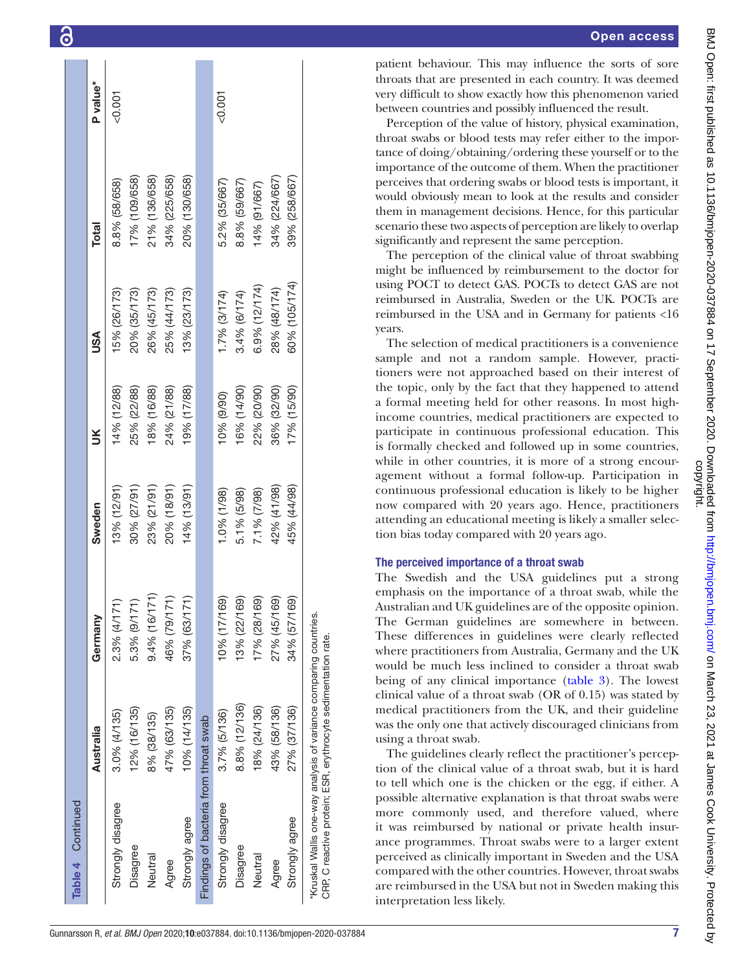| Table 4 Continued                     |                                                                                                                                    |                 |               |             |                 |               |          |
|---------------------------------------|------------------------------------------------------------------------------------------------------------------------------------|-----------------|---------------|-------------|-----------------|---------------|----------|
|                                       | Australia                                                                                                                          | Germany         | Sweden        | š           | USA             | <b>Total</b>  | P value* |
| Strongly disagree                     | $3.0\%$ (4/135)                                                                                                                    | 2.3% (4/171)    | $13%$ (12/91) | 4% (12/88)  | 5% (26/173)     | 8.8% (58/658) | 50.001   |
| Disagree                              | 12% (16/135)                                                                                                                       | 5.3% (9/171)    | 30% (27/91)   | 25% (22/88) | 20% (35/173)    | 17% (109/658) |          |
| Neutral                               | 8% (38/135)                                                                                                                        | $9.4%$ (16/171) | 23% (21/91)   | 8% (16/88)  | 26% (45/173)    | 21% (136/658) |          |
| Agree                                 | 47% (63/135)                                                                                                                       | 46% (79/171     | 20% (18/91)   | 24% (21/88) | 25% (44/173)    | 34% (225/658) |          |
| Strongly agree                        | 10% (14/135)                                                                                                                       | 37% (63/171     | 14% (13/91)   | 19% (17/88) | 13% (23/173)    | 20% (130/658) |          |
| Findings of bacteria from throat swab |                                                                                                                                    |                 |               |             |                 |               |          |
| Strongly disagree                     | 3.7% (5/136)                                                                                                                       | 10% (17/169     | 1.0% (1/98)   | (06/6) % 01 | 1.7% (3/174)    | 5.2% (35/667) | &0.001   |
| Disagree                              | 8.8% (12/136)                                                                                                                      | 13% (22/169     | 5.1% (5/98)   | 6% (14/90)  | 3.4% (6/174)    | 8.8% (59/667) |          |
| Neutral                               | 18% (24/136)                                                                                                                       | 17% (28/169     | 7.1% (7/98)   | 22% (20/90) | $6.9%$ (12/174) | 14% (91/667)  |          |
| Agree                                 | 43% (58/136)                                                                                                                       | 27% (45/169     | 42% (41/98)   | 36% (32/90) | 28% (48/174)    | 34% (224/667) |          |
| Strongly agree                        | 27% (37/136)                                                                                                                       | 34% (57/169     | 45% (44/98)   | 7% (15/90)  | 60% (105/174)   | 39% (258/667) |          |
|                                       | *Kruskal Wallis one-way analysis of variance comparing countries.<br>CRP, C reactive protein; ESR, erythrocyte sedimentation rate. |                 |               |             |                 |               |          |

patient behaviour. This may influence the sorts of sore throats that are presented in each country. It was deemed very difficult to show exactly how this phenomenon varied between countries and possibly influenced the result.

Perception of the value of history, physical examination, throat swabs or blood tests may refer either to the importance of doing/obtaining/ordering these yourself or to the importance of the outcome of them. When the practitioner perceives that ordering swabs or blood tests is important, it would obviously mean to look at the results and consider them in management decisions. Hence, for this particular scenario these two aspects of perception are likely to overlap significantly and represent the same perception.

The perception of the clinical value of throat swabbing might be influenced by reimbursement to the doctor for using POCT to detect GAS. POCTs to detect GAS are not reimbursed in Australia, Sweden or the UK. POCTs are reimbursed in the USA and in Germany for patients <16 years.

The selection of medical practitioners is a convenience sample and not a random sample. However, practi tioners were not approached based on their interest of the topic, only by the fact that they happened to attend a formal meeting held for other reasons. In most highincome countries, medical practitioners are expected to participate in continuous professional education. This is formally checked and followed up in some countries, while in other countries, it is more of a strong encouragement without a formal follow-up. Participation in continuous professional education is likely to be higher now compared with 20 years ago. Hence, practitioners attending an educational meeting is likely a smaller selec tion bias today compared with 20 years ago.

## The perceived importance of a throat swab

The Swedish and the USA guidelines put a strong emphasis on the importance of a throat swab, while the Australian and UK guidelines are of the opposite opinion. The German guidelines are somewhere in between. These differences in guidelines were clearly reflected where practitioners from Australia, Germany and the UK would be much less inclined to consider a throat swab being of any clinical importance ([table](#page-4-0) 3). The lowest clinical value of a throat swab (OR of 0.15) was stated by medical practitioners from the UK, and their guideline was the only one that actively discouraged clinicians from using a throat swab.

The guidelines clearly reflect the practitioner's perception of the clinical value of a throat swab, but it is hard to tell which one is the chicken or the egg, if either. A possible alternative explanation is that throat swabs were more commonly used, and therefore valued, where it was reimbursed by national or private health insurance programmes. Throat swabs were to a larger extent perceived as clinically important in Sweden and the USA compared with the other countries. However, throat swabs are reimbursed in the USA but not in Sweden making this interpretation less likely.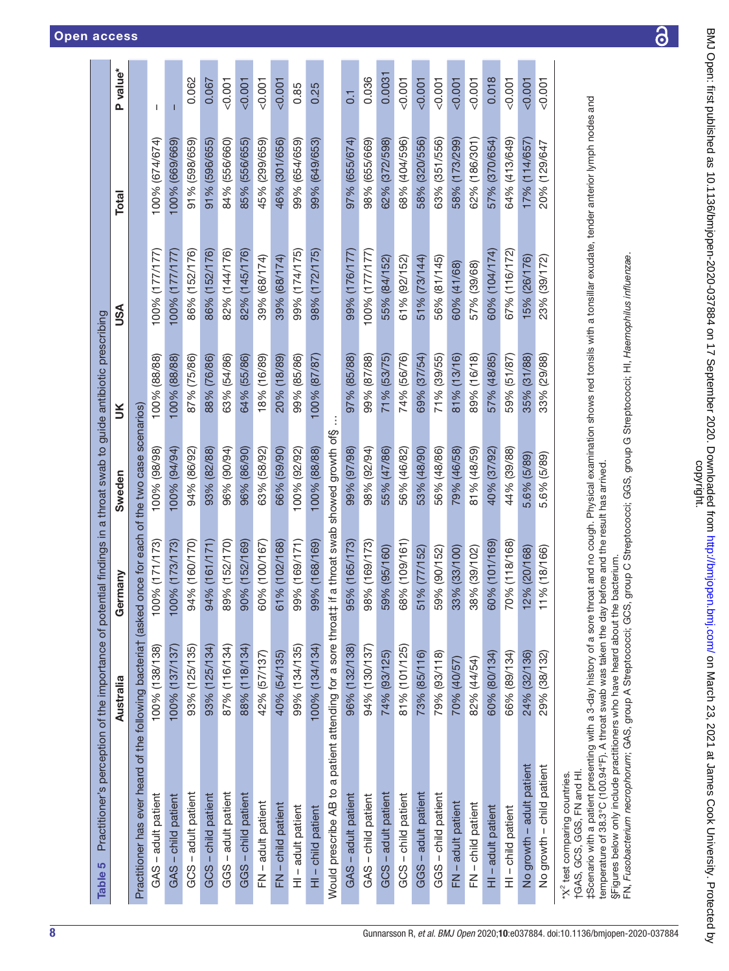| Practitioner's perception of the importance of potential findings in a throat swab to guide antibiotic prescribing<br>Table 5 |                |                |              |              |                |                |                  |
|-------------------------------------------------------------------------------------------------------------------------------|----------------|----------------|--------------|--------------|----------------|----------------|------------------|
|                                                                                                                               | Australia      | Germany        | Sweden       | š            | USA            | Total          | P value*         |
| Practitioner has ever heard of the following bacteria† (asked once for each of the two case scenarios)                        |                |                |              |              |                |                |                  |
| GAS-adult patient                                                                                                             | 100% (138/138) | 100% (171/173) | 100% (98/98) | 100% (88/88) | 100% (177/177) | 100% (674/674) | T                |
| GAS-child patient                                                                                                             | 100% (137/137) | 100% (173/173) | 100% (94/94) | 100% (88/88) | 100% (177/177) | 100% (669/669) | T                |
| GCS - adult patient                                                                                                           | 93% (125/135)  | 94% (160/170)  | 94% (86/92)  | 87% (75/86)  | 86% (152/176)  | 91% (598/659)  | 0.062            |
| GCS-child patient                                                                                                             | 93% (125/134)  | 94% (161/171)  | 93% (82/88)  | 88% (76/86)  | 86% (152/176)  | 91% (596/655)  | 0.067            |
| GGS-adult patient                                                                                                             | 87% (116/134)  | 39% (152/170)  | 96% (90/94)  | 63% (54/86)  | 82% (144/176)  | 84% (556/660)  | 0.001            |
| GGS - child patient                                                                                                           | 88% (118/134)  | 90% (152/169)  | 96% (86/90)  | 64% (55/86)  | 82% (145/176)  | 85% (556/655)  | 0.001            |
| FN-adult patient                                                                                                              | 42% (57/137)   | 30% (100/167)  | 63% (58/92)  | 18% (16/89)  | 39% (68/174)   | 45% (299/659)  | 0.007            |
| FN-child patient                                                                                                              | 40% (54/135)   | 51% (102/168)  | 66% (59/90)  | 20% (18/89)  | 39% (68/174)   | 46% (301/656)  | 0.001            |
| HI-adult patient                                                                                                              | 99% (134/135)  | 171/69) %66    | 100% (92/92) | 99% (85/86)  | 99% (174/175)  | 99% (654/659)  | 0.85             |
| HI-child patient                                                                                                              | 100% (134/134) | 99% (168/169)  | 100% (88/88) | 100% (87/87) | 98% (172/175)  | 99% (649/653)  | 0.25             |
| Would prescribe AB to a patient attending for a sore throat‡ if a throat swab showed growth of§                               |                |                |              |              |                |                |                  |
| GAS - adult patient                                                                                                           | 96% (132/138)  | 95% (165/173)  | 99% (97/98)  | 97% (85/88)  | 99% (176/177)  | 97% (655/674)  | $\overline{0}$ . |
| GAS - child patient                                                                                                           | 94% (130/137)  | 98% (169/173)  | 98% (92/94)  | 99% (87/88)  | 100% (177/177) | 98% (655/669)  | 0.036            |
| GCS-adult patient                                                                                                             | 74% (93/125)   | 59% (95/160)   | 55% (47/86)  | 71% (53/75)  | 55% (84/152)   | 62% (372/598)  | 0.0031           |
| GCS - child patient                                                                                                           | 81% (101/125)  | 61/60/1609     | 56% (46/82)  | 74% (56/76)  | 61% (92/152)   | 68% (404/596)  | $-0.001$         |
| GGS - adult patient                                                                                                           | 73% (85/116)   | 51% (77/152)   | 53% (48/90)  | 69% (37/54)  | 51% (73/144)   | 58% (320/556)  | 0.007            |
| GGS-child patient                                                                                                             | 79% (93/118)   | 59% (90/152)   | 56% (48/86)  | 71% (39/55)  | 56% (81/145)   | 63% (351/556)  | 0.001            |
| FN-adult patient                                                                                                              | 70% (40/57)    | 33% (33/100)   | 79% (46/58)  | 81% (13/16)  | 60% (41/68)    | 58% (173/299)  | &0.007           |
| FN-child patient                                                                                                              | 82% (44/54)    | 38% (39/102)   | 81% (48/59)  | 89% (16/18)  | 57% (39/68)    | 62% (186/301)  | < 0.001          |
| HI-adult patient                                                                                                              | 60% (80/134)   | 691/101/169    | 40% (37/92)  | 57% (48/85)  | 60% (104/174)  | 57% (370/654)  | 0.018            |
| HI-child patient                                                                                                              | 66% (89/134)   | 70% (118/168)  | 44% (39/88)  | 59% (51/87)  | 67% (116/172)  | 64% (413/649)  | 0.001            |
| No growth - adult patient                                                                                                     | 24% (32/136)   | 2% (20/168)    | 5.6% (5/89)  | 35% (31/88)  | 15% (26/176)   | 17% (114/657)  | $100.00 - 7$     |
| No growth - child patient                                                                                                     | 29% (38/132)   | 11% (18/166)   | 5.6% (5/89)  | 33% (29/88)  | 23% (39/172)   | 20% (129/647   | &0.007           |
| †GAS, GCS, GGS, FN and HI<br>*X <sup>2</sup> test comparing countries.                                                        |                |                |              |              |                |                |                  |

‡Scenario with a patient presenting with a 3-day history of a sore throat and no cough. Physical examination shows red tonsils with a tonsillar exudate, tender anterior lymph nodes and<br>temperature of 38.3°C (100.94°F). A t ‡Scenario with a patient presenting with a 3-day history of a sore throat and no cough. Physical examination shows red tonsils with a tonsillar exudate, tender anterior lymph nodes and temperature of 38.3°C (100.94°F). A throat swab was taken the day before and the result has arrived.

<span id="page-7-0"></span>§Figures below only include practitioners who have heard about the bacterium.

§Figures below only include practitioners who have heard about the bacterium.<br>FN, *Fusobacterium necrophorum*; GAS, group A Streptococci; GCS, group C Streptococci; GGS, group G Streptococci; HI, *Haemophilus influenzae.* FN, *Fusobacterium necrophorum*; GAS, group A Streptococci; GCS, group C Streptococci; GGS, group G Streptococci; HI, *Haemophilus influenzae*.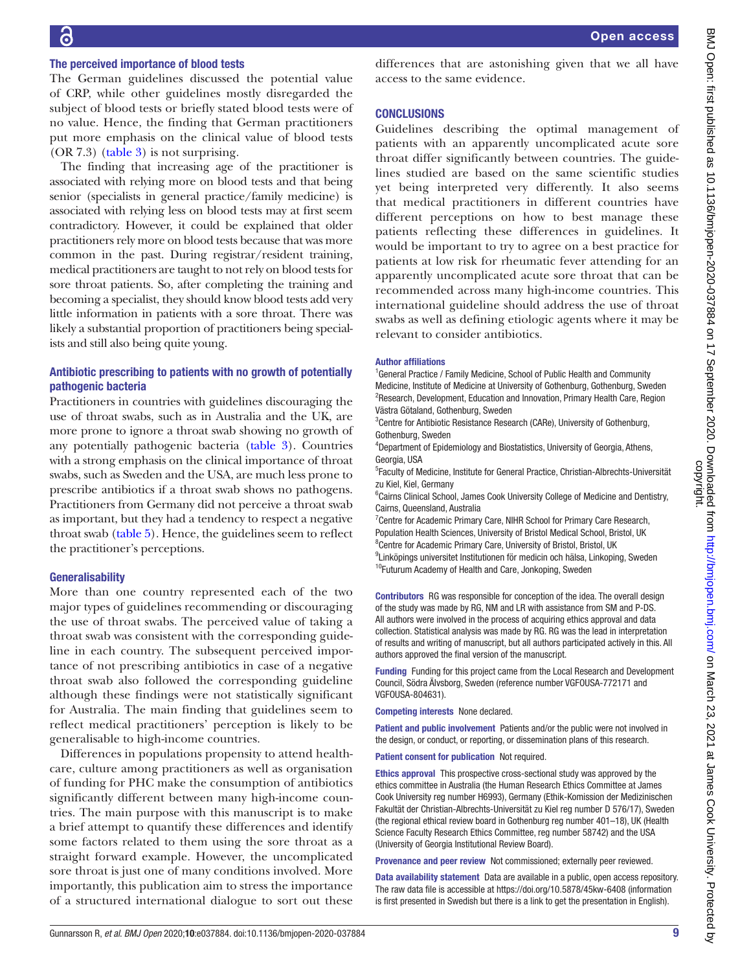#### The perceived importance of blood tests

The German guidelines discussed the potential value of CRP, while other guidelines mostly disregarded the subject of blood tests or briefly stated blood tests were of no value. Hence, the finding that German practitioners put more emphasis on the clinical value of blood tests (OR 7.3) ([table](#page-4-0) 3) is not surprising.

The finding that increasing age of the practitioner is associated with relying more on blood tests and that being senior (specialists in general practice/family medicine) is associated with relying less on blood tests may at first seem contradictory. However, it could be explained that older practitioners rely more on blood tests because that was more common in the past. During registrar/resident training, medical practitioners are taught to not rely on blood tests for sore throat patients. So, after completing the training and becoming a specialist, they should know blood tests add very little information in patients with a sore throat. There was likely a substantial proportion of practitioners being specialists and still also being quite young.

## Antibiotic prescribing to patients with no growth of potentially pathogenic bacteria

Practitioners in countries with guidelines discouraging the use of throat swabs, such as in Australia and the UK, are more prone to ignore a throat swab showing no growth of any potentially pathogenic bacteria ([table](#page-4-0) 3). Countries with a strong emphasis on the clinical importance of throat swabs, such as Sweden and the USA, are much less prone to prescribe antibiotics if a throat swab shows no pathogens. Practitioners from Germany did not perceive a throat swab as important, but they had a tendency to respect a negative throat swab [\(table](#page-7-0) 5). Hence, the guidelines seem to reflect the practitioner's perceptions.

## **Generalisability**

More than one country represented each of the two major types of guidelines recommending or discouraging the use of throat swabs. The perceived value of taking a throat swab was consistent with the corresponding guideline in each country. The subsequent perceived importance of not prescribing antibiotics in case of a negative throat swab also followed the corresponding guideline although these findings were not statistically significant for Australia. The main finding that guidelines seem to reflect medical practitioners' perception is likely to be generalisable to high-income countries.

Differences in populations propensity to attend healthcare, culture among practitioners as well as organisation of funding for PHC make the consumption of antibiotics significantly different between many high-income countries. The main purpose with this manuscript is to make a brief attempt to quantify these differences and identify some factors related to them using the sore throat as a straight forward example. However, the uncomplicated sore throat is just one of many conditions involved. More importantly, this publication aim to stress the importance of a structured international dialogue to sort out these

differences that are astonishing given that we all have access to the same evidence.

#### **CONCLUSIONS**

Guidelines describing the optimal management of patients with an apparently uncomplicated acute sore throat differ significantly between countries. The guidelines studied are based on the same scientific studies yet being interpreted very differently. It also seems that medical practitioners in different countries have different perceptions on how to best manage these patients reflecting these differences in guidelines. It would be important to try to agree on a best practice for patients at low risk for rheumatic fever attending for an apparently uncomplicated acute sore throat that can be recommended across many high-income countries. This international guideline should address the use of throat swabs as well as defining etiologic agents where it may be relevant to consider antibiotics.

#### Author affiliations

<sup>1</sup>General Practice / Family Medicine, School of Public Health and Community Medicine, Institute of Medicine at University of Gothenburg, Gothenburg, Sweden <sup>2</sup>Research, Development, Education and Innovation, Primary Health Care, Region Västra Götaland, Gothenburg, Sweden

<sup>3</sup> Centre for Antibiotic Resistance Research (CARe), University of Gothenburg, Gothenburg, Sweden

4 Department of Epidemiology and Biostatistics, University of Georgia, Athens, Georgia, USA

5 Faculty of Medicine, Institute for General Practice, Christian-Albrechts-Universität zu Kiel, Kiel, Germany

<sup>6</sup>Cairns Clinical School, James Cook University College of Medicine and Dentistry, Cairns, Queensland, Australia

<sup>7</sup> Centre for Academic Primary Care, NIHR School for Primary Care Research, Population Health Sciences, University of Bristol Medical School, Bristol, UK <sup>8</sup> Centre for Academic Primary Care, University of Bristol, Bristol, UK

9 Linköpings universitet Institutionen för medicin och hälsa, Linkoping, Sweden <sup>10</sup>Futurum Academy of Health and Care, Jonkoping, Sweden

Contributors RG was responsible for conception of the idea. The overall design of the study was made by RG, NM and LR with assistance from SM and P-DS. All authors were involved in the process of acquiring ethics approval and data collection. Statistical analysis was made by RG. RG was the lead in interpretation of results and writing of manuscript, but all authors participated actively in this. All authors approved the final version of the manuscript.

Funding Funding for this project came from the Local Research and Development Council, Södra Älvsborg, Sweden (reference number VGFOUSA-772171 and VGFOUSA-804631).

Competing interests None declared.

Patient and public involvement Patients and/or the public were not involved in the design, or conduct, or reporting, or dissemination plans of this research.

Patient consent for publication Not required.

Ethics approval This prospective cross-sectional study was approved by the ethics committee in Australia (the Human Research Ethics Committee at James Cook University reg number H6993), Germany (Ethik-Komission der Medizinischen Fakultät der Christian-Albrechts-Universität zu Kiel reg number D 576/17), Sweden (the regional ethical review board in Gothenburg reg number 401–18), UK (Health Science Faculty Research Ethics Committee, reg number 58742) and the USA (University of Georgia Institutional Review Board).

Provenance and peer review Not commissioned; externally peer reviewed.

Data availability statement Data are available in a public, open access repository. The raw data file is accessible at <https://doi.org/10.5878/45kw-6408> (information is first presented in Swedish but there is a link to get the presentation in English).